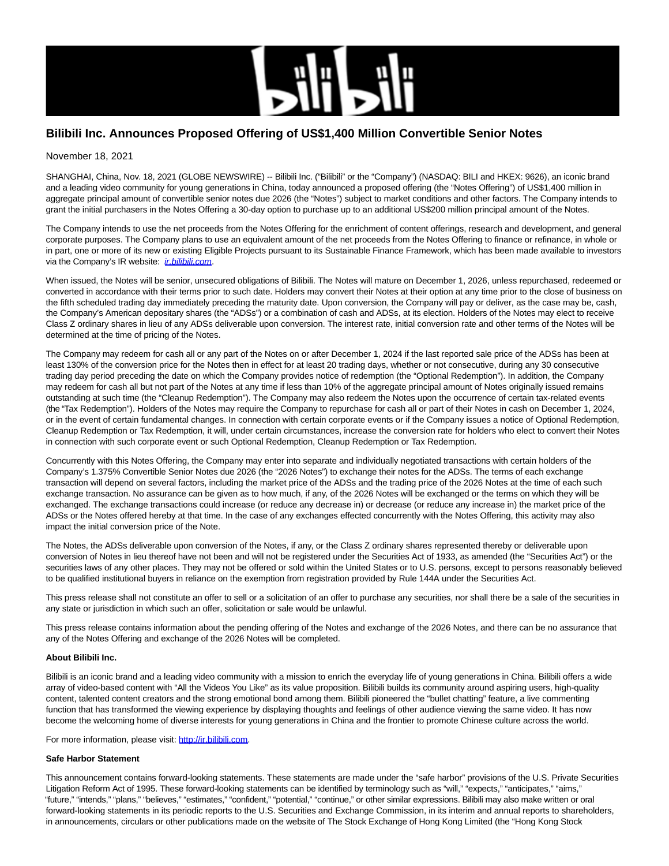

# **Bilibili Inc. Announces Proposed Offering of US\$1,400 Million Convertible Senior Notes**

November 18, 2021

SHANGHAI, China, Nov. 18, 2021 (GLOBE NEWSWIRE) -- Bilibili Inc. ("Bilibili" or the "Company") (NASDAQ: BILI and HKEX: 9626), an iconic brand and a leading video community for young generations in China, today announced a proposed offering (the "Notes Offering") of US\$1,400 million in aggregate principal amount of convertible senior notes due 2026 (the "Notes") subject to market conditions and other factors. The Company intends to grant the initial purchasers in the Notes Offering a 30-day option to purchase up to an additional US\$200 million principal amount of the Notes.

The Company intends to use the net proceeds from the Notes Offering for the enrichment of content offerings, research and development, and general corporate purposes. The Company plans to use an equivalent amount of the net proceeds from the Notes Offering to finance or refinance, in whole or in part, one or more of its new or existing Eligible Projects pursuant to its Sustainable Finance Framework, which has been made available to investors via the Company's IR website: *[ir.bilibili.com](https://www.globenewswire.com/Tracker?data=psBLX2aF_T0OYsXH7D5pvCJC_svhITTeoF9rnk5diPPWJS_oOTV4acPDfEdDDh5tbUvMzO2SEUEv4hdD2lmLbQ==)*.

When issued, the Notes will be senior, unsecured obligations of Bilibili. The Notes will mature on December 1, 2026, unless repurchased, redeemed or converted in accordance with their terms prior to such date. Holders may convert their Notes at their option at any time prior to the close of business on the fifth scheduled trading day immediately preceding the maturity date. Upon conversion, the Company will pay or deliver, as the case may be, cash, the Company's American depositary shares (the "ADSs") or a combination of cash and ADSs, at its election. Holders of the Notes may elect to receive Class Z ordinary shares in lieu of any ADSs deliverable upon conversion. The interest rate, initial conversion rate and other terms of the Notes will be determined at the time of pricing of the Notes.

The Company may redeem for cash all or any part of the Notes on or after December 1, 2024 if the last reported sale price of the ADSs has been at least 130% of the conversion price for the Notes then in effect for at least 20 trading days, whether or not consecutive, during any 30 consecutive trading day period preceding the date on which the Company provides notice of redemption (the "Optional Redemption"). In addition, the Company may redeem for cash all but not part of the Notes at any time if less than 10% of the aggregate principal amount of Notes originally issued remains outstanding at such time (the "Cleanup Redemption"). The Company may also redeem the Notes upon the occurrence of certain tax-related events (the "Tax Redemption"). Holders of the Notes may require the Company to repurchase for cash all or part of their Notes in cash on December 1, 2024, or in the event of certain fundamental changes. In connection with certain corporate events or if the Company issues a notice of Optional Redemption, Cleanup Redemption or Tax Redemption, it will, under certain circumstances, increase the conversion rate for holders who elect to convert their Notes in connection with such corporate event or such Optional Redemption, Cleanup Redemption or Tax Redemption.

Concurrently with this Notes Offering, the Company may enter into separate and individually negotiated transactions with certain holders of the Company's 1.375% Convertible Senior Notes due 2026 (the "2026 Notes") to exchange their notes for the ADSs. The terms of each exchange transaction will depend on several factors, including the market price of the ADSs and the trading price of the 2026 Notes at the time of each such exchange transaction. No assurance can be given as to how much, if any, of the 2026 Notes will be exchanged or the terms on which they will be exchanged. The exchange transactions could increase (or reduce any decrease in) or decrease (or reduce any increase in) the market price of the ADSs or the Notes offered hereby at that time. In the case of any exchanges effected concurrently with the Notes Offering, this activity may also impact the initial conversion price of the Note.

The Notes, the ADSs deliverable upon conversion of the Notes, if any, or the Class Z ordinary shares represented thereby or deliverable upon conversion of Notes in lieu thereof have not been and will not be registered under the Securities Act of 1933, as amended (the "Securities Act") or the securities laws of any other places. They may not be offered or sold within the United States or to U.S. persons, except to persons reasonably believed to be qualified institutional buyers in reliance on the exemption from registration provided by Rule 144A under the Securities Act.

This press release shall not constitute an offer to sell or a solicitation of an offer to purchase any securities, nor shall there be a sale of the securities in any state or jurisdiction in which such an offer, solicitation or sale would be unlawful.

This press release contains information about the pending offering of the Notes and exchange of the 2026 Notes, and there can be no assurance that any of the Notes Offering and exchange of the 2026 Notes will be completed.

## **About Bilibili Inc.**

Bilibili is an iconic brand and a leading video community with a mission to enrich the everyday life of young generations in China. Bilibili offers a wide array of video-based content with "All the Videos You Like" as its value proposition. Bilibili builds its community around aspiring users, high-quality content, talented content creators and the strong emotional bond among them. Bilibili pioneered the "bullet chatting" feature, a live commenting function that has transformed the viewing experience by displaying thoughts and feelings of other audience viewing the same video. It has now become the welcoming home of diverse interests for young generations in China and the frontier to promote Chinese culture across the world.

For more information, please visit: [http://ir.bilibili.com.](https://www.globenewswire.com/Tracker?data=T63DxRx30NxMXck0yh7CP-PP25IIT5RAE8fPEuoS1D2c8Bzpi-GvYKOfSUUy_u6158LcYe6K9imV-xU8WiYT8rJ6y8IcxKpKmE7y7eLY02k=)

## **Safe Harbor Statement**

This announcement contains forward-looking statements. These statements are made under the "safe harbor" provisions of the U.S. Private Securities Litigation Reform Act of 1995. These forward-looking statements can be identified by terminology such as "will," "expects," "anticipates," "aims," "future," "intends," "plans," "believes," "estimates," "confident," "potential," "continue," or other similar expressions. Bilibili may also make written or oral forward-looking statements in its periodic reports to the U.S. Securities and Exchange Commission, in its interim and annual reports to shareholders, in announcements, circulars or other publications made on the website of The Stock Exchange of Hong Kong Limited (the "Hong Kong Stock